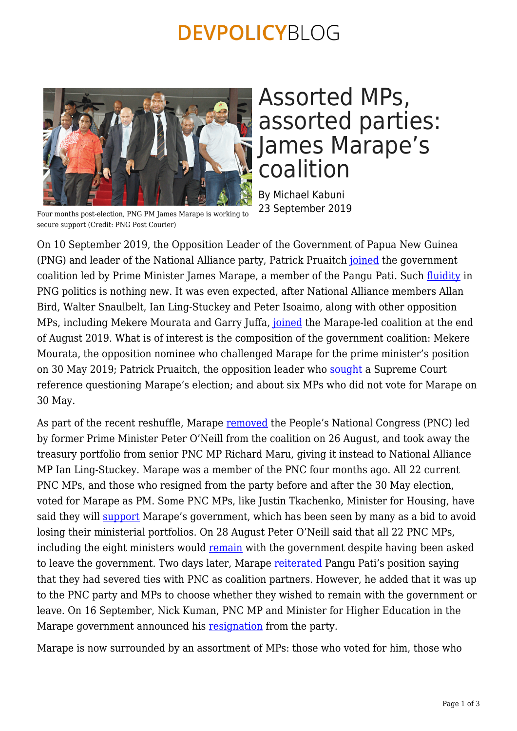## **DEVPOLICYBLOG**



#### Four months post-election, PNG PM James Marape is working to secure support (Credit: PNG Post Courier)

## Assorted MPs, assorted parties: James Marape's coalition

By Michael Kabuni 23 September 2019

On 10 September 2019, the Opposition Leader of the Government of Papua New Guinea (PNG) and leader of the National Alliance party, Patrick Pruaitch [joined](https://postcourier.com.pg/opposition-leader-joins-government/) the government coalition led by Prime Minister James Marape, a member of the Pangu Pati. Such [fluidity](https://devpolicy.org/pngs-fluid-politics-winners-and-losers-from-oneill-to-marape-20190619/) in PNG politics is nothing new. It was even expected, after National Alliance members Allan Bird, Walter Snaulbelt, Ian Ling-Stuckey and Peter Isoaimo, along with other opposition MPs, including Mekere Mourata and Garry Juffa, [joined](https://postcourier.com.pg/breakaway-na-faction-given-blessing-join-government/) the Marape-led coalition at the end of August 2019. What is of interest is the composition of the government coalition: Mekere Mourata, the opposition nominee who challenged Marape for the prime minister's position on 30 May 2019; Patrick Pruaitch, the opposition leader who [sought](https://www.thenational.com.pg/case-on-marape-to-go-ahead/) a Supreme Court reference questioning Marape's election; and about six MPs who did not vote for Marape on 30 May.

As part of the recent reshuffle, Marape [removed](https://postcourier.com.pg/opposition-mps-defect-government/) the People's National Congress (PNC) led by former Prime Minister Peter O'Neill from the coalition on 26 August, and took away the treasury portfolio from senior PNC MP Richard Maru, giving it instead to National Alliance MP Ian Ling-Stuckey. Marape was a member of the PNC four months ago. All 22 current PNC MPs, and those who resigned from the party before and after the 30 May election, voted for Marape as PM. Some PNC MPs, like Justin Tkachenko, Minister for Housing, have said they will **support** Marape's government, which has been seen by many as a bid to avoid losing their ministerial portfolios. On 28 August Peter O'Neill said that all 22 PNC MPs, including the eight ministers would [remain](https://www.thenational.com.pg/pnc-mps-will-stay-oneill/) with the government despite having been asked to leave the government. Two days later, Marape [reiterated](https://www.thenational.com.pg/marape-v-oneill/) Pangu Pati's position saying that they had severed ties with PNC as coalition partners. However, he added that it was up to the PNC party and MPs to choose whether they wished to remain with the government or leave. On 16 September, Nick Kuman, PNC MP and Minister for Higher Education in the Marape government announced his [resignation](https://postcourier.com.pg/minister-kuman-quits-pnc/) from the party.

Marape is now surrounded by an assortment of MPs: those who voted for him, those who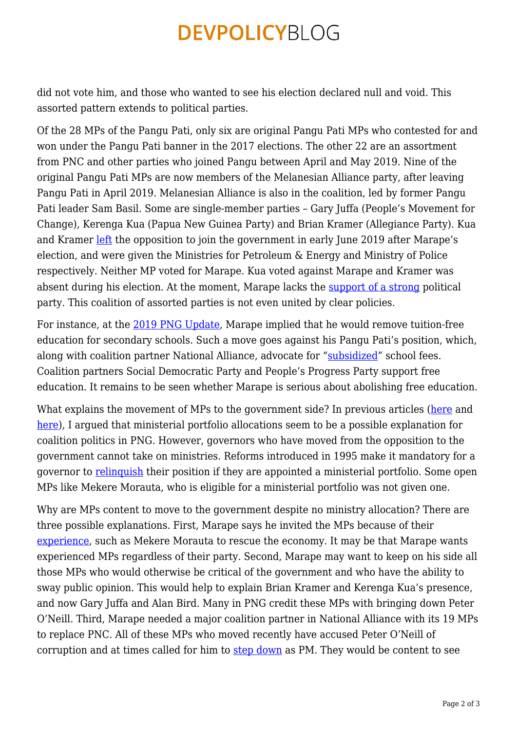# **DEVPOLICYBLOG**

did not vote him, and those who wanted to see his election declared null and void. This assorted pattern extends to political parties.

Of the 28 MPs of the Pangu Pati, only six are original Pangu Pati MPs who contested for and won under the Pangu Pati banner in the 2017 elections. The other 22 are an assortment from PNC and other parties who joined Pangu between April and May 2019. Nine of the original Pangu Pati MPs are now members of the Melanesian Alliance party, after leaving Pangu Pati in April 2019. Melanesian Alliance is also in the coalition, led by former Pangu Pati leader Sam Basil. Some are single-member parties – Gary Juffa (People's Movement for Change), Kerenga Kua (Papua New Guinea Party) and Brian Kramer (Allegiance Party). Kua and Kramer [left](https://www.rnz.co.nz/international/pacific-news/391492/marape-unveils-new-look-png-cabinet-with-reformist-aims) the opposition to join the government in early June 2019 after Marape's election, and were given the Ministries for Petroleum & Energy and Ministry of Police respectively. Neither MP voted for Marape. Kua voted against Marape and Kramer was absent during his election. At the moment, Marape lacks the [support of a strong](https://devpolicy.org/will-the-marape-and-pangu-party-coalition-stand-the-test-of-png-politics-20190913/?unapproved=730551&moderation-hash=73f0419dc3289c409962e0fcf9d984e8#comment-730551) political party. This coalition of assorted parties is not even united by clear policies.

For instance, at the [2019 PNG Update](https://devpolicy.crawford.anu.edu.au/png-and-pacific-updates/png-update), Marape implied that he would remove tuition-free education for secondary schools. Such a move goes against his Pangu Pati's position, which, along with coalition partner National Alliance, advocate for ["subsidized](https://devpolicy.org/do-policies-matter-autonomy-education-png-politics-20180905/)" school fees. Coalition partners Social Democratic Party and People's Progress Party support free education. It remains to be seen whether Marape is serious about abolishing free education.

What explains the movement of MPs to the government side? In previous articles [\(here](https://devpolicy.org/do-policies-matter-autonomy-education-png-politics-20180905/) and [here](https://devpolicy.org/pngs-fluid-politics-winners-and-losers-from-oneill-to-marape-20190619/)). I argued that ministerial portfolio allocations seem to be a possible explanation for coalition politics in PNG. However, governors who have moved from the opposition to the government cannot take on ministries. Reforms introduced in 1995 make it mandatory for a governor to [relinquish](https://postcourier.com.pg/wnb-vote-new-governor/) their position if they are appointed a ministerial portfolio. Some open MPs like Mekere Morauta, who is eligible for a ministerial portfolio was not given one.

Why are MPs content to move to the government despite no ministry allocation? There are three possible explanations. First, Marape says he invited the MPs because of their [experience,](https://postcourier.com.pg/opposition-leader-joins-government/) such as Mekere Morauta to rescue the economy. It may be that Marape wants experienced MPs regardless of their party. Second, Marape may want to keep on his side all those MPs who would otherwise be critical of the government and who have the ability to sway public opinion. This would help to explain Brian Kramer and Kerenga Kua's presence, and now Gary Juffa and Alan Bird. Many in PNG credit these MPs with bringing down Peter O'Neill. Third, Marape needed a major coalition partner in National Alliance with its 19 MPs to replace PNC. All of these MPs who moved recently have accused Peter O'Neill of corruption and at times called for him to [step down](https://www.theguardian.com/world/2018/nov/15/png-opposition-mps-call-for-pm-to-step-down-over-bridge-building-scandal) as PM. They would be content to see